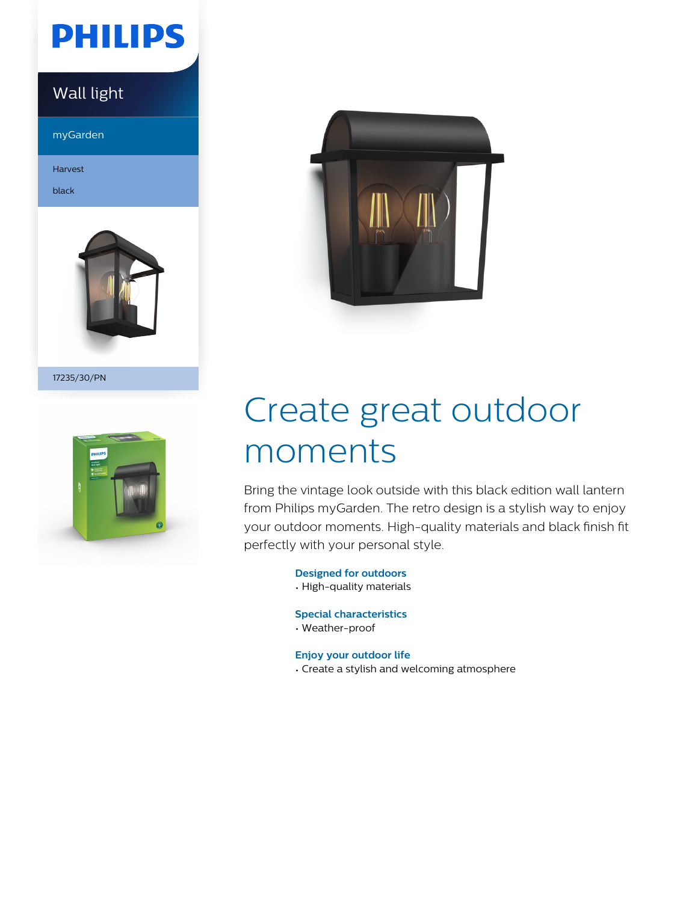# **PHILIPS**

### Wall light

myGarden

Harvest

black



17235/30/PN





# Create great outdoor moments

Bring the vintage look outside with this black edition wall lantern from Philips myGarden. The retro design is a stylish way to enjoy your outdoor moments. High-quality materials and black finish fit perfectly with your personal style.

**Designed for outdoors**

• High-quality materials

**Special characteristics**

• Weather-proof

**Enjoy your outdoor life**

• Create a stylish and welcoming atmosphere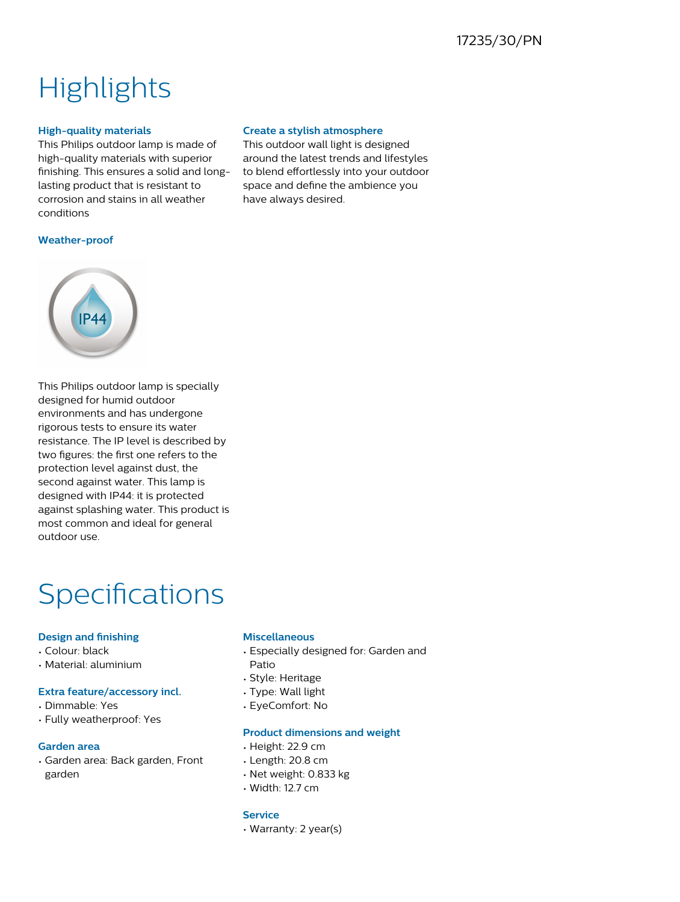## **Highlights**

#### **High-quality materials**

This Philips outdoor lamp is made of high-quality materials with superior finishing. This ensures a solid and longlasting product that is resistant to corrosion and stains in all weather conditions

#### **Create a stylish atmosphere**

This outdoor wall light is designed around the latest trends and lifestyles to blend effortlessly into your outdoor space and define the ambience you have always desired.

#### **Weather-proof**



This Philips outdoor lamp is specially designed for humid outdoor environments and has undergone rigorous tests to ensure its water resistance. The IP level is described by two figures: the first one refers to the protection level against dust, the second against water. This lamp is designed with IP44: it is protected against splashing water. This product is most common and ideal for general outdoor use.

### Specifications

#### **Design and finishing**

- Colour: black
- Material: aluminium

#### **Extra feature/accessory incl.**

- Dimmable: Yes
- Fully weatherproof: Yes

#### **Garden area**

• Garden area: Back garden, Front garden

#### **Miscellaneous**

- Especially designed for: Garden and Patio
- Style: Heritage
- Type: Wall light
- EyeComfort: No

#### **Product dimensions and weight**

- Height: 22.9 cm
- Length: 20.8 cm
- Net weight: 0.833 kg
- Width: 12.7 cm

#### **Service**

• Warranty: 2 year(s)